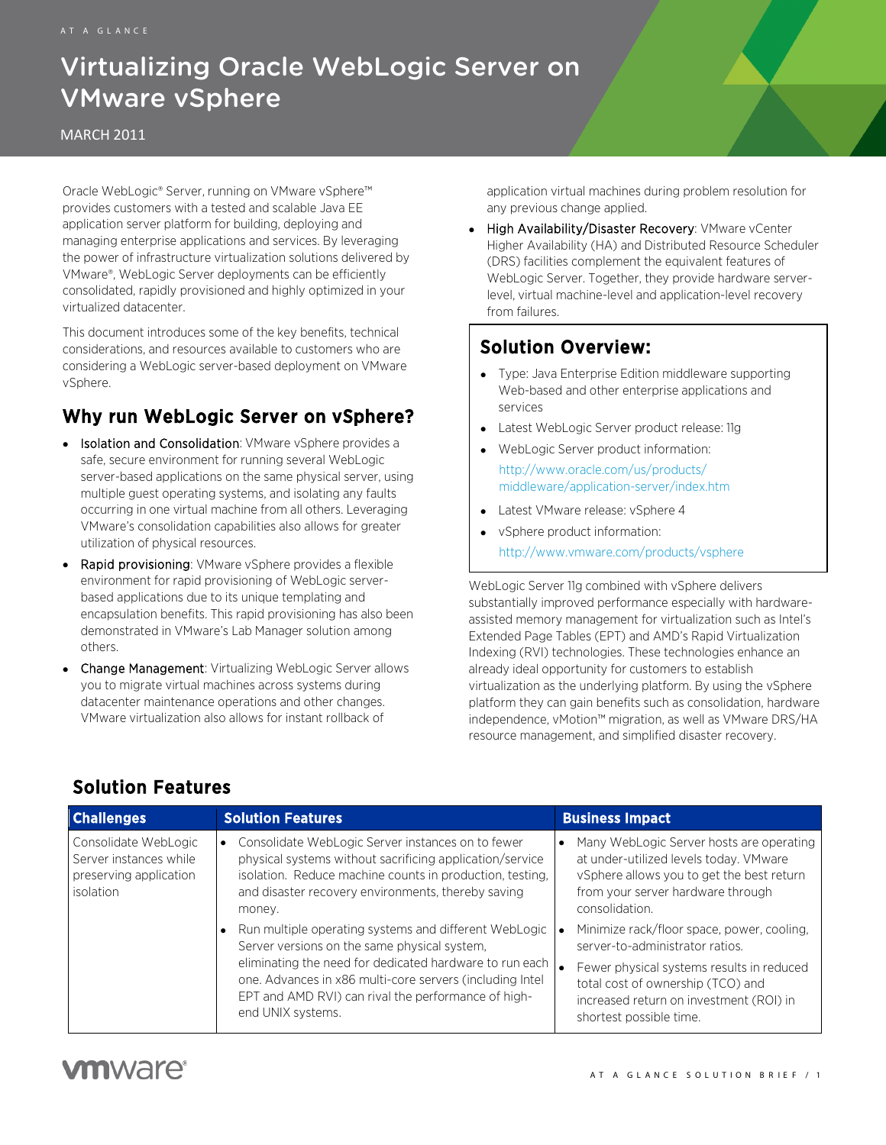# Virtualizing Oracle WebLogic Server on VMware vSphere

#### MARCH 2011

Oracle WebLogic® Server, running on VMware vSphere™ provides customers with a tested and scalable Java EE application server platform for building, deploying and managing enterprise applications and services. By leveraging the power of infrastructure virtualization solutions delivered by VMware®, WebLogic Server deployments can be efficiently consolidated, rapidly provisioned and highly optimized in your virtualized datacenter.

This document introduces some of the key benefits, technical considerations, and resources available to customers who are considering a WebLogic server-based deployment on VMware vSphere.

## Why run WebLogic Server on vSphere?

- Isolation and Consolidation: VMware vSphere provides a safe, secure environment for running several WebLogic server-based applications on the same physical server, using multiple guest operating systems, and isolating any faults occurring in one virtual machine from all others. Leveraging VMware's consolidation capabilities also allows for greater utilization of physical resources.
- Rapid provisioning: VMware vSphere provides a flexible environment for rapid provisioning of WebLogic serverbased applications due to its unique templating and encapsulation benefits. This rapid provisioning has also been demonstrated in VMware's Lab Manager solution among others.
- Change Management: Virtualizing WebLogic Server allows you to migrate virtual machines across systems during datacenter maintenance operations and other changes. VMware virtualization also allows for instant rollback of

application virtual machines during problem resolution for any previous change applied.

Document Title

High Availability/Disaster Recovery: VMware vCenter Higher Availability (HA) and Distributed Resource Scheduler (DRS) facilities complement the equivalent features of WebLogic Server. Together, they provide hardware serverlevel, virtual machine-level and application-level recovery from failures.

### Solution Overview:

- Type: Java Enterprise Edition middleware supporting Web-based and other enterprise applications and services
- Latest WebLogic Server product release: 11g
- WebLogic Server product information: [http://www.oracle.com/us/products/](http://www.oracle.com/us/products/middleware/application-server/index.htm)
	- [middleware/application-server/index.htm](http://www.oracle.com/us/products/middleware/application-server/index.htm)
- Latest VMware release: vSphere 4
- vSphere product information: <http://www.vmware.com/products/vsphere>

WebLogic Server 11g combined with vSphere delivers substantially improved performance especially with hardwareassisted memory management for virtualization such as Intel's Extended Page Tables (EPT) and AMD's Rapid Virtualization Indexing (RVI) technologies. These technologies enhance an already ideal opportunity for customers to establish virtualization as the underlying platform. By using the vSphere platform they can gain benefits such as consolidation, hardware independence, vMotion™ migration, as well as VMware DRS/HA resource management, and simplified disaster recovery.

| <b>Challenges</b>                                                                     | <b>Solution Features</b>                                                                                                                                                                                                                                                                                 | <b>Business Impact</b>                                                                                                                                                                                                                |
|---------------------------------------------------------------------------------------|----------------------------------------------------------------------------------------------------------------------------------------------------------------------------------------------------------------------------------------------------------------------------------------------------------|---------------------------------------------------------------------------------------------------------------------------------------------------------------------------------------------------------------------------------------|
| Consolidate WebLogic<br>Server instances while<br>preserving application<br>isolation | Consolidate WebLogic Server instances on to fewer<br>physical systems without sacrificing application/service<br>isolation. Reduce machine counts in production, testing,<br>and disaster recovery environments, thereby saving<br>money.                                                                | Many WebLogic Server hosts are operating<br>at under-utilized levels today. VMware<br>vSphere allows you to get the best return<br>from your server hardware through<br>consolidation.                                                |
|                                                                                       | Run multiple operating systems and different WebLogic<br>Server versions on the same physical system,<br>eliminating the need for dedicated hardware to run each<br>one. Advances in x86 multi-core servers (including Intel<br>EPT and AMD RVI) can rival the performance of high-<br>end UNIX systems. | Minimize rack/floor space, power, cooling,<br>server-to-administrator ratios.<br>Fewer physical systems results in reduced<br>total cost of ownership (TCO) and<br>increased return on investment (ROI) in<br>shortest possible time. |

# Solution Features

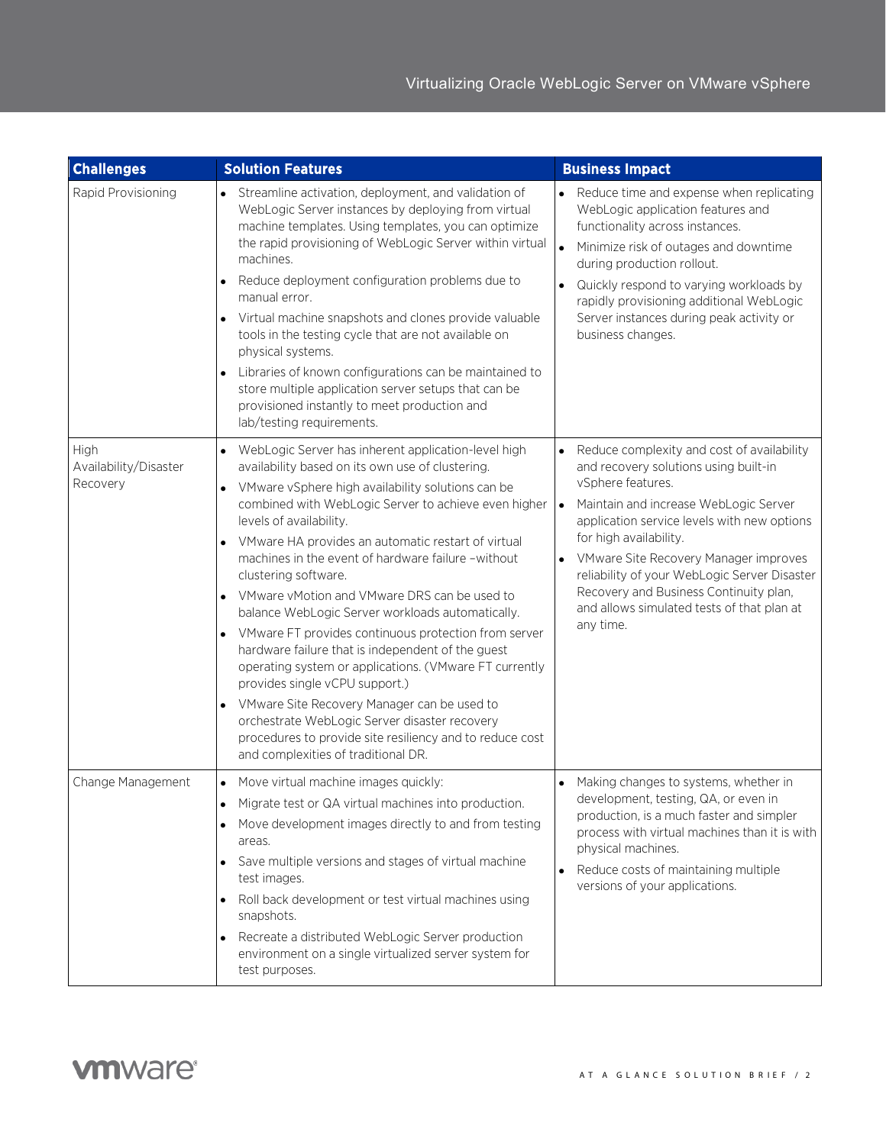| <b>Challenges</b>                         | <b>Solution Features</b>                                                                                                                                                                                                                                                                                                                                                                                                                                                                                                                                                                                                                                                                                                                                                                                                                                                                                                                   | <b>Business Impact</b>                                                                                                                                                                                                                                                                                                                                                                                                                               |
|-------------------------------------------|--------------------------------------------------------------------------------------------------------------------------------------------------------------------------------------------------------------------------------------------------------------------------------------------------------------------------------------------------------------------------------------------------------------------------------------------------------------------------------------------------------------------------------------------------------------------------------------------------------------------------------------------------------------------------------------------------------------------------------------------------------------------------------------------------------------------------------------------------------------------------------------------------------------------------------------------|------------------------------------------------------------------------------------------------------------------------------------------------------------------------------------------------------------------------------------------------------------------------------------------------------------------------------------------------------------------------------------------------------------------------------------------------------|
| Rapid Provisioning                        | Streamline activation, deployment, and validation of<br>$\bullet$<br>WebLogic Server instances by deploying from virtual<br>machine templates. Using templates, you can optimize<br>the rapid provisioning of WebLogic Server within virtual<br>machines.<br>Reduce deployment configuration problems due to<br>manual error.<br>Virtual machine snapshots and clones provide valuable<br>tools in the testing cycle that are not available on<br>physical systems.<br>Libraries of known configurations can be maintained to<br>store multiple application server setups that can be<br>provisioned instantly to meet production and<br>lab/testing requirements.                                                                                                                                                                                                                                                                         | Reduce time and expense when replicating<br>$\bullet$<br>WebLogic application features and<br>functionality across instances.<br>$\bullet$<br>Minimize risk of outages and downtime<br>during production rollout.<br>Quickly respond to varying workloads by<br>rapidly provisioning additional WebLogic<br>Server instances during peak activity or<br>business changes.                                                                            |
| High<br>Availability/Disaster<br>Recovery | WebLogic Server has inherent application-level high<br>$\bullet$<br>availability based on its own use of clustering.<br>VMware vSphere high availability solutions can be<br>$\bullet$<br>combined with WebLogic Server to achieve even higher<br>levels of availability.<br>VMware HA provides an automatic restart of virtual<br>machines in the event of hardware failure -without<br>clustering software.<br>VMware vMotion and VMware DRS can be used to<br>balance WebLogic Server workloads automatically.<br>VMware FT provides continuous protection from server<br>hardware failure that is independent of the guest<br>operating system or applications. (VMware FT currently<br>provides single vCPU support.)<br>VMware Site Recovery Manager can be used to<br>$\bullet$<br>orchestrate WebLogic Server disaster recovery<br>procedures to provide site resiliency and to reduce cost<br>and complexities of traditional DR. | • Reduce complexity and cost of availability<br>and recovery solutions using built-in<br>vSphere features.<br>Maintain and increase WebLogic Server<br>$\bullet$<br>application service levels with new options<br>for high availability.<br>VMware Site Recovery Manager improves<br>$\bullet$<br>reliability of your WebLogic Server Disaster<br>Recovery and Business Continuity plan,<br>and allows simulated tests of that plan at<br>any time. |
| Change Management                         | Move virtual machine images quickly:<br>$\bullet$<br>Migrate test or QA virtual machines into production.<br>Move development images directly to and from testing<br>areas.<br>Save multiple versions and stages of virtual machine<br>test images.<br>Roll back development or test virtual machines using<br>snapshots.<br>Recreate a distributed WebLogic Server production<br>environment on a single virtualized server system for<br>test purposes.                                                                                                                                                                                                                                                                                                                                                                                                                                                                                  | Making changes to systems, whether in<br>development, testing, QA, or even in<br>production, is a much faster and simpler<br>process with virtual machines than it is with<br>physical machines.<br>Reduce costs of maintaining multiple<br>$\bullet$<br>versions of your applications.                                                                                                                                                              |

Ι